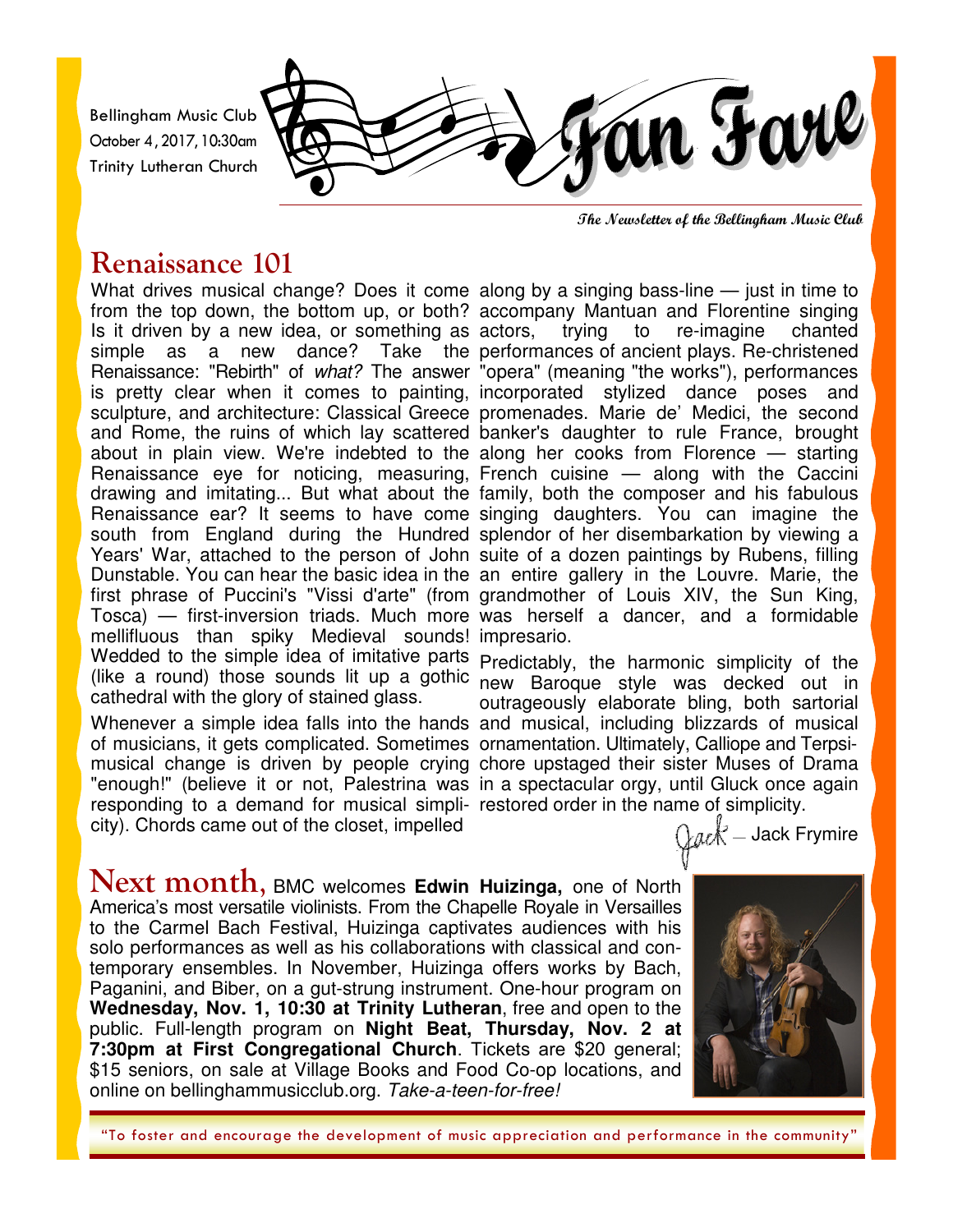Bellingham Music Club October 4, 2017, 10:30am Trinity Lutheran Church



**The Newsletter of the Bellingham Music Club** 

## **Renaissance 101**

What drives musical change? Does it come along by a singing bass-line — just in time to from the top down, the bottom up, or both? accompany Mantuan and Florentine singing Is it driven by a new idea, or something as actors, simple as a new dance? Take the performances of ancient plays. Re-christened Renaissance: "Rebirth" of what? The answer "opera" (meaning "the works"), performances is pretty clear when it comes to painting, incorporated stylized dance poses and sculpture, and architecture: Classical Greece promenades. Marie de' Medici, the second and Rome, the ruins of which lay scattered banker's daughter to rule France, brought about in plain view. We're indebted to the along her cooks from Florence — starting Renaissance eye for noticing, measuring, French cuisine — along with the Caccini drawing and imitating... But what about the family, both the composer and his fabulous Renaissance ear? It seems to have come singing daughters. You can imagine the south from England during the Hundred splendor of her disembarkation by viewing a Years' War, attached to the person of John suite of a dozen paintings by Rubens, filling Dunstable. You can hear the basic idea in the an entire gallery in the Louvre. Marie, the first phrase of Puccini's "Vissi d'arte" (from grandmother of Louis XIV, the Sun King, Tosca) — first-inversion triads. Much more was herself a dancer, and a formidable mellifluous than spiky Medieval sounds! impresario. Wedded to the simple idea of imitative parts Predictably, the harmonic simplicity of the (like a round) those sounds lit up a gothic new Baroque style was decked out in cathedral with the glory of stained glass.

Whenever a simple idea falls into the hands and musical, including blizzards of musical of musicians, it gets complicated. Sometimes ornamentation. Ultimately, Calliope and Terpsimusical change is driven by people crying chore upstaged their sister Muses of Drama "enough!" (believe it or not, Palestrina was in a spectacular orgy, until Gluck once again responding to a demand for musical simpli- restored order in the name of simplicity. city). Chords came out of the closet, impelled

trying to re-imagine chanted

outrageously elaborate bling, both sartorial

 $\mathbb{Q}$ ack Frymire

**Next month, BMC welcomes Edwin Huizinga, one of North** America's most versatile violinists. From the Chapelle Royale in Versailles to the Carmel Bach Festival, Huizinga captivates audiences with his solo performances as well as his collaborations with classical and contemporary ensembles. In November, Huizinga offers works by Bach, Paganini, and Biber, on a gut-strung instrument. One-hour program on **Wednesday, Nov. 1, 10:30 at Trinity Lutheran**, free and open to the public. Full-length program on **Night Beat, Thursday, Nov. 2 at 7:30pm at First Congregational Church**. Tickets are \$20 general; \$15 seniors, on sale at Village Books and Food Co-op locations, and online on bellinghammusicclub.org. Take-a-teen-for-free!



"To foster and encourage the development of music appreciation and performance in the community"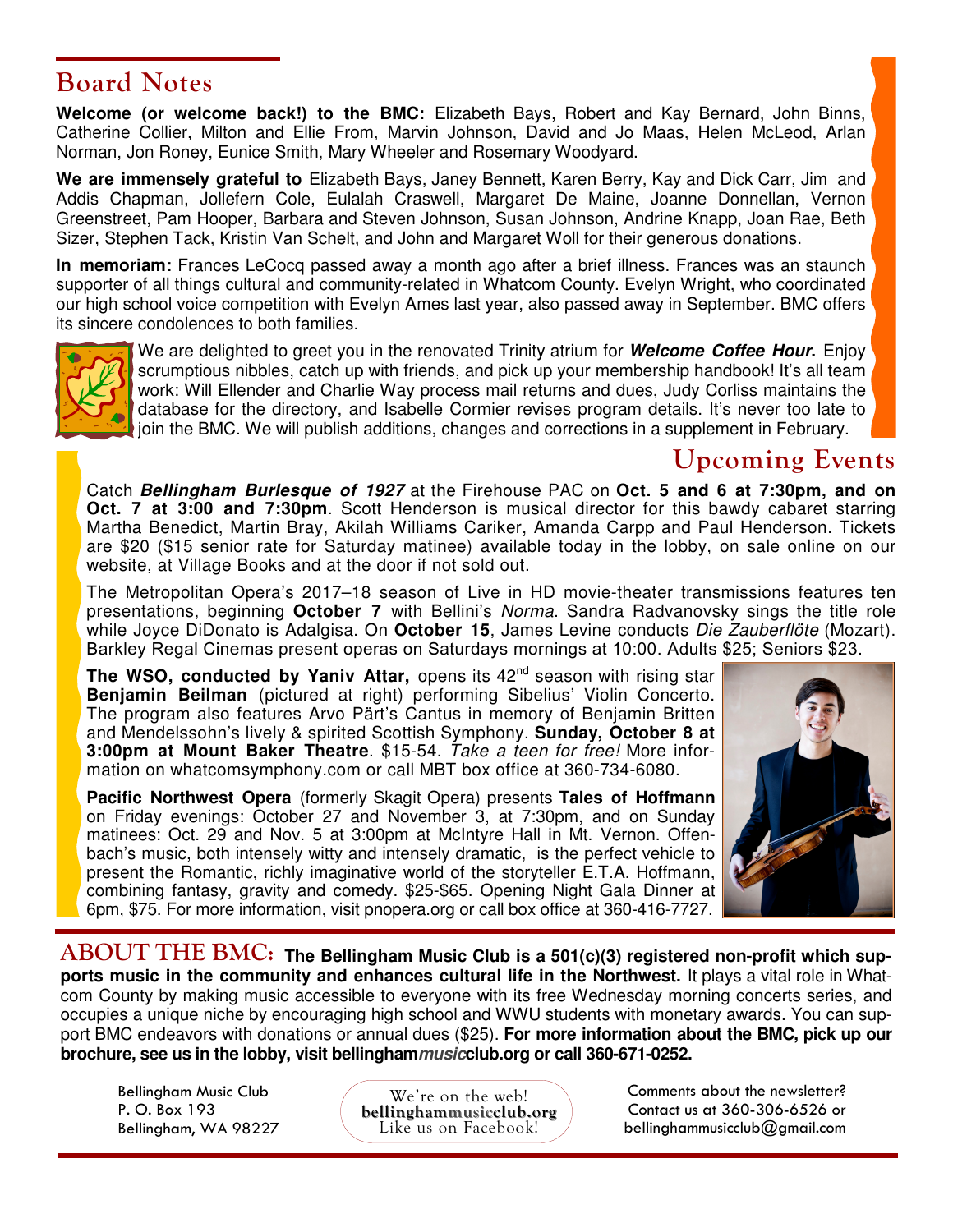### **Board Notes**

**Welcome (or welcome back!) to the BMC:** Elizabeth Bays, Robert and Kay Bernard, John Binns, Catherine Collier, Milton and Ellie From, Marvin Johnson, David and Jo Maas, Helen McLeod, Arlan Norman, Jon Roney, Eunice Smith, Mary Wheeler and Rosemary Woodyard.

**We are immensely grateful to** Elizabeth Bays, Janey Bennett, Karen Berry, Kay and Dick Carr, Jim and Addis Chapman, Jollefern Cole, Eulalah Craswell, Margaret De Maine, Joanne Donnellan, Vernon Greenstreet, Pam Hooper, Barbara and Steven Johnson, Susan Johnson, Andrine Knapp, Joan Rae, Beth Sizer, Stephen Tack, Kristin Van Schelt, and John and Margaret Woll for their generous donations.

**In memoriam:** Frances LeCocq passed away a month ago after a brief illness. Frances was an staunch supporter of all things cultural and community-related in Whatcom County. Evelyn Wright, who coordinated our high school voice competition with Evelyn Ames last year, also passed away in September. BMC offers its sincere condolences to both families.



We are delighted to greet you in the renovated Trinity atrium for **Welcome Coffee Hour.** Enjoy scrumptious nibbles, catch up with friends, and pick up your membership handbook! It's all team work: Will Ellender and Charlie Way process mail returns and dues, Judy Corliss maintains the database for the directory, and Isabelle Cormier revises program details. It's never too late to join the BMC. We will publish additions, changes and corrections in a supplement in February.

# **Upcoming Events**

Catch **Bellingham Burlesque of 1927** at the Firehouse PAC on **Oct. 5 and 6 at 7:30pm, and on Oct. 7 at 3:00 and 7:30pm**. Scott Henderson is musical director for this bawdy cabaret starring Martha Benedict, Martin Bray, Akilah Williams Cariker, Amanda Carpp and Paul Henderson. Tickets are \$20 (\$15 senior rate for Saturday matinee) available today in the lobby, on sale online on our website, at Village Books and at the door if not sold out.

The Metropolitan Opera's 2017–18 season of Live in HD movie-theater transmissions features ten presentations, beginning **October 7** with Bellini's Norma. Sandra Radvanovsky sings the title role while Joyce DiDonato is Adalgisa. On **October 15**, James Levine conducts Die Zauberflöte (Mozart). Barkley Regal Cinemas present operas on Saturdays mornings at 10:00. Adults \$25; Seniors \$23.

**The WSO, conducted by Yaniv Attar, opens its 42<sup>nd</sup> season with rising star Benjamin Beilman** (pictured at right) performing Sibelius' Violin Concerto. The program also features Arvo Pärt's Cantus in memory of Benjamin Britten and Mendelssohn's lively & spirited Scottish Symphony. **Sunday, October 8 at 3:00pm at Mount Baker Theatre**. \$15-54. Take a teen for free! More information on whatcomsymphony.com or call MBT box office at 360-734-6080.

**Pacific Northwest Opera** (formerly Skagit Opera) presents **Tales of Hoffmann**  on Friday evenings: October 27 and November 3, at 7:30pm, and on Sunday matinees: Oct. 29 and Nov. 5 at 3:00pm at McIntyre Hall in Mt. Vernon. Offenbach's music, both intensely witty and intensely dramatic, is the perfect vehicle to present the Romantic, richly imaginative world of the storyteller E.T.A. Hoffmann, combining fantasy, gravity and comedy. \$25-\$65. Opening Night Gala Dinner at 6pm, \$75. For more information, visit pnopera.org or call box office at 360-416-7727.



 $\bf A BOUT\hspace{1mm} THE\hspace{1mm} BMC\hspace{1mm}$ : The Bellingham Music Club is a 501(c)(3) registered non-profit which sup**ports music in the community and enhances cultural life in the Northwest.** It plays a vital role in Whatcom County by making music accessible to everyone with its free Wednesday morning concerts series, and occupies a unique niche by encouraging high school and WWU students with monetary awards. You can support BMC endeavors with donations or annual dues (\$25). **For more information about the BMC, pick up our brochure, see us in the lobby, visit bellinghammusicclub.org or call 360-671-0252.** 

Bellingham Music Club P. O. Box 193 Bellingham, WA 98227

We're on the web! **bellinghammusicclub.org** Like us on Facebook!

Comments about the newsletter? Contact us at 360-306-6526 or bellinghammusicclub@gmail.com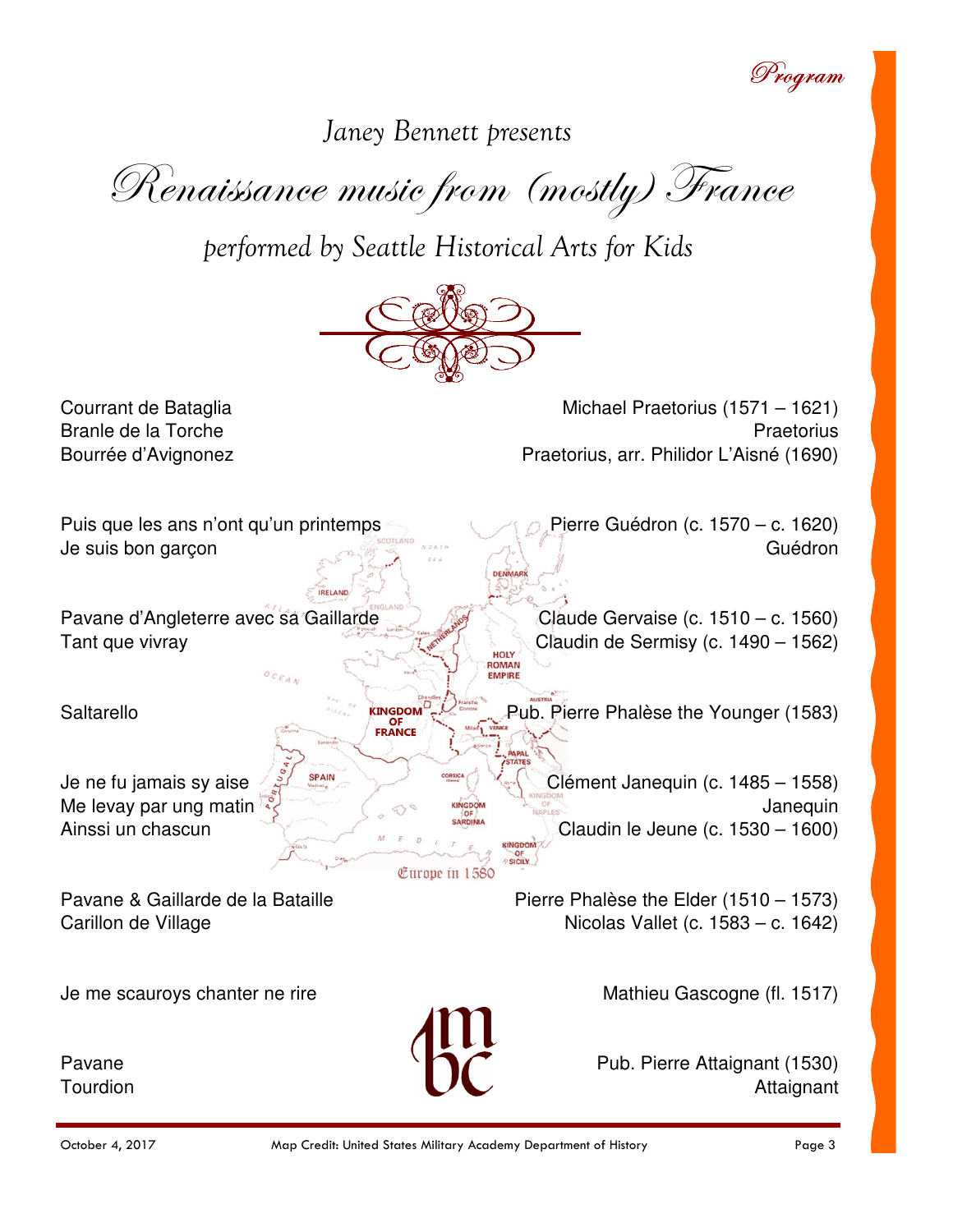Program

Janey Bennett presents

Renaissance music from (mostly) France

performed by Seattle Historical Arts for Kids



Michael Praetorius (1571 - 1621) Praetorius Praetorius, arr. Philidor L'Aisné (1690)

Puis que les ans n'ont qu'un printemps Pierre Guédron (c. 1570 – c. 1620) Je suis bon garcon Guédron DENMARY Pavane d'Angleterre avec sa Gaillarde Claude Gervaise (c.  $1510 - c$ . 1560) Tant que vivray Claudin de Sermisy (c. 1490 – 1562) **HOLY** ROMAN **KINGDOM** Saltarello Pub. Pierre Phalèse the Younger (1583) OF<br>FRANCE **SPAIN** Je ne fu jamais sy aise Clément Janequin (c. 1485 – 1558) Me levay par ung matin Janequin Ainssi un chascun Claudin le Jeune (c. 1530 – 1600) SICILY

Europe in 1580

Pavane & Gaillarde de la Bataille Carillon de Village

Courrant de Bataglia

Branle de la Torche

Bourrée d'Avignonez

Je me scauroys chanter ne rire

Pavane Tourdion Mathieu Gascogne (fl. 1517)

Nicolas Vallet (c. 1583 – c. 1642)

Pierre Phalèse the Elder (1510 – 1573)

Pub. Pierre Attaignant (1530) Attaignant